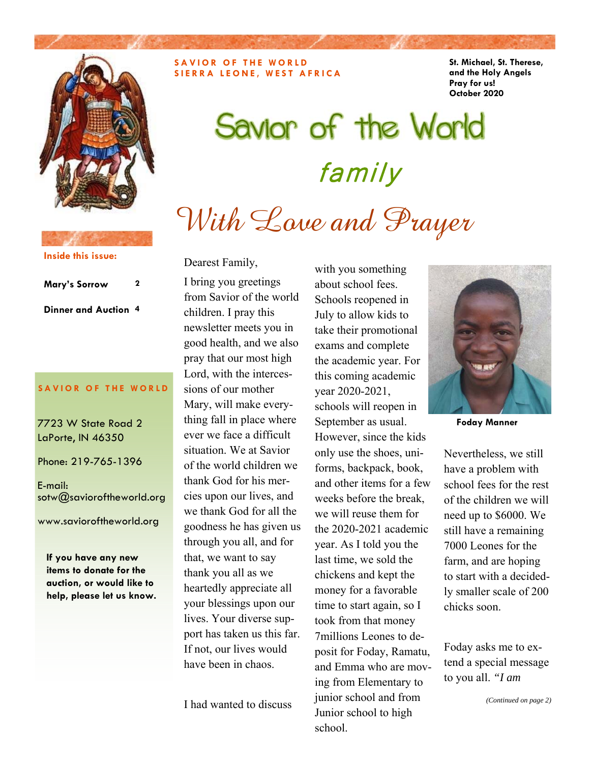

**SAVIOR OF THE WORLD SIERRA LEONE, WEST AFRICA**  **St. Michael, St. Therese, and the Holy Angels Pray for us! October 2020** 

# Savior of the World family With Love and Prayer

### **Inside this issue:**

**Mary's Sorrow 2 Dinner and Auction 4** 

#### **SAVIOR OF THE WORLD**

7723 W State Road 2 LaPorte, IN 46350

Phone: 219-765-1396

E-mail: sotw@savioroftheworld.org

www.savioroftheworld.org

**If you have any new items to donate for the auction, or would like to help, please let us know.**  Dearest Family,

I bring you greetings from Savior of the world children. I pray this newsletter meets you in good health, and we also pray that our most high Lord, with the intercessions of our mother Mary, will make everything fall in place where ever we face a difficult situation. We at Savior of the world children we thank God for his mercies upon our lives, and we thank God for all the goodness he has given us through you all, and for that, we want to say thank you all as we heartedly appreciate all your blessings upon our lives. Your diverse support has taken us this far. If not, our lives would have been in chaos.

I had wanted to discuss

with you something about school fees. Schools reopened in July to allow kids to take their promotional exams and complete the academic year. For this coming academic year 2020-2021, schools will reopen in September as usual. However, since the kids only use the shoes, uniforms, backpack, book, and other items for a few weeks before the break, we will reuse them for the 2020-2021 academic year. As I told you the last time, we sold the chickens and kept the money for a favorable time to start again, so I took from that money 7millions Leones to deposit for Foday, Ramatu, and Emma who are moving from Elementary to junior school and from Junior school to high school.



**Foday Manner** 

Nevertheless, we still have a problem with school fees for the rest of the children we will need up to \$6000. We still have a remaining 7000 Leones for the farm, and are hoping to start with a decidedly smaller scale of 200 chicks soon.

Foday asks me to extend a special message to you all. *"I am*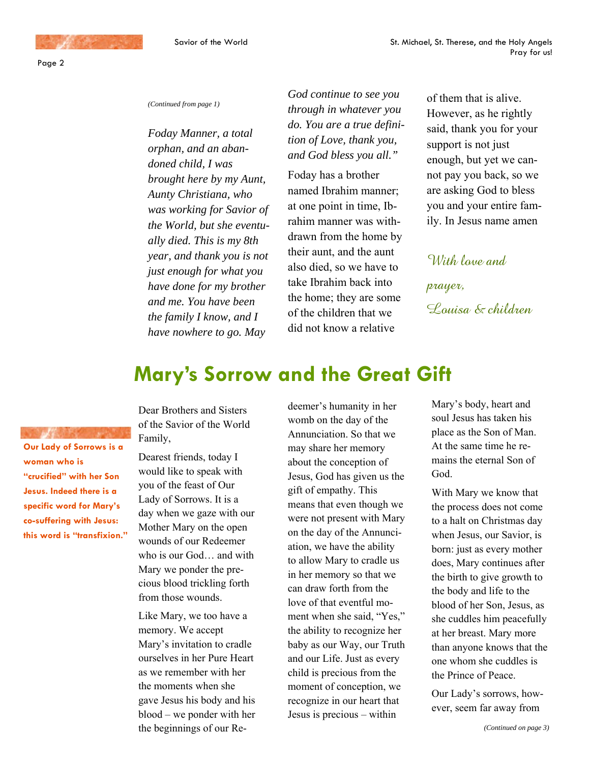Page 2

#### *(Continued from page 1)*

*Foday Manner, a total orphan, and an abandoned child, I was brought here by my Aunt, Aunty Christiana, who was working for Savior of the World, but she eventually died. This is my 8th year, and thank you is not just enough for what you have done for my brother and me. You have been the family I know, and I have nowhere to go. May* 

*God continue to see you through in whatever you do. You are a true definition of Love, thank you, and God bless you all."*

Foday has a brother named Ibrahim manner; at one point in time, Ibrahim manner was withdrawn from the home by their aunt, and the aunt also died, so we have to take Ibrahim back into the home; they are some of the children that we did not know a relative

of them that is alive. However, as he rightly said, thank you for your support is not just enough, but yet we cannot pay you back, so we are asking God to bless you and your entire family. In Jesus name amen

With laye and

prayer, Louisa & children

## **Mary's Sorrow and the Great Gift**

**Our Lady of Sorrows is a woman who is "crucified" with her Son Jesus. Indeed there is a specific word for Mary's co-suffering with Jesus: this word is "transfixion."**  Dear Brothers and Sisters of the Savior of the World Family,

Dearest friends, today I would like to speak with you of the feast of Our Lady of Sorrows. It is a day when we gaze with our Mother Mary on the open wounds of our Redeemer who is our God… and with Mary we ponder the precious blood trickling forth from those wounds.

Like Mary, we too have a memory. We accept Mary's invitation to cradle ourselves in her Pure Heart as we remember with her the moments when she gave Jesus his body and his blood – we ponder with her the beginnings of our Re-

deemer's humanity in her womb on the day of the Annunciation. So that we may share her memory about the conception of Jesus, God has given us the gift of empathy. This means that even though we were not present with Mary on the day of the Annunciation, we have the ability to allow Mary to cradle us in her memory so that we can draw forth from the love of that eventful moment when she said, "Yes," the ability to recognize her baby as our Way, our Truth and our Life. Just as every child is precious from the moment of conception, we recognize in our heart that Jesus is precious – within

Mary's body, heart and soul Jesus has taken his place as the Son of Man. At the same time he remains the eternal Son of God.

With Mary we know that the process does not come to a halt on Christmas day when Jesus, our Savior, is born: just as every mother does, Mary continues after the birth to give growth to the body and life to the blood of her Son, Jesus, as she cuddles him peacefully at her breast. Mary more than anyone knows that the one whom she cuddles is the Prince of Peace.

Our Lady's sorrows, however, seem far away from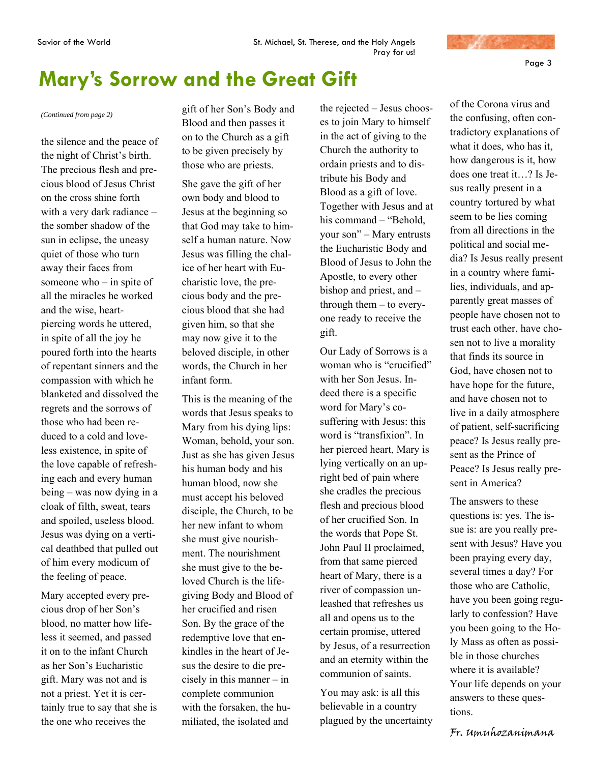

## **Mary's Sorrow and the Great Gift**

the silence and the peace of the night of Christ's birth. The precious flesh and precious blood of Jesus Christ on the cross shine forth with a very dark radiance – the somber shadow of the sun in eclipse, the uneasy quiet of those who turn away their faces from someone who – in spite of all the miracles he worked and the wise, heartpiercing words he uttered, in spite of all the joy he poured forth into the hearts of repentant sinners and the compassion with which he blanketed and dissolved the regrets and the sorrows of those who had been reduced to a cold and loveless existence, in spite of the love capable of refreshing each and every human being – was now dying in a cloak of filth, sweat, tears and spoiled, useless blood. Jesus was dying on a vertical deathbed that pulled out of him every modicum of the feeling of peace.

Mary accepted every precious drop of her Son's blood, no matter how lifeless it seemed, and passed it on to the infant Church as her Son's Eucharistic gift. Mary was not and is not a priest. Yet it is certainly true to say that she is the one who receives the

*(Continued from page 2)* gift of her Son's Body and Blood and then passes it on to the Church as a gift to be given precisely by those who are priests.

> She gave the gift of her own body and blood to Jesus at the beginning so that God may take to himself a human nature. Now Jesus was filling the chalice of her heart with Eucharistic love, the precious body and the precious blood that she had given him, so that she may now give it to the beloved disciple, in other words, the Church in her infant form.

This is the meaning of the words that Jesus speaks to Mary from his dying lips: Woman, behold, your son. Just as she has given Jesus his human body and his human blood, now she must accept his beloved disciple, the Church, to be her new infant to whom she must give nourishment. The nourishment she must give to the beloved Church is the lifegiving Body and Blood of her crucified and risen Son. By the grace of the redemptive love that enkindles in the heart of Jesus the desire to die precisely in this manner – in complete communion with the forsaken, the humiliated, the isolated and

the rejected – Jesus chooses to join Mary to himself in the act of giving to the Church the authority to ordain priests and to distribute his Body and Blood as a gift of love. Together with Jesus and at his command – "Behold, your son" – Mary entrusts the Eucharistic Body and Blood of Jesus to John the Apostle, to every other bishop and priest, and – through them – to everyone ready to receive the gift.

Our Lady of Sorrows is a woman who is "crucified" with her Son Jesus. Indeed there is a specific word for Mary's cosuffering with Jesus: this word is "transfixion". In her pierced heart, Mary is lying vertically on an upright bed of pain where she cradles the precious flesh and precious blood of her crucified Son. In the words that Pope St. John Paul II proclaimed, from that same pierced heart of Mary, there is a river of compassion unleashed that refreshes us all and opens us to the certain promise, uttered by Jesus, of a resurrection and an eternity within the communion of saints.

You may ask: is all this believable in a country plagued by the uncertainty

of the Corona virus and the confusing, often contradictory explanations of what it does, who has it, how dangerous is it, how does one treat it…? Is Jesus really present in a country tortured by what seem to be lies coming from all directions in the political and social media? Is Jesus really present in a country where families, individuals, and apparently great masses of people have chosen not to trust each other, have chosen not to live a morality that finds its source in God, have chosen not to have hope for the future, and have chosen not to live in a daily atmosphere of patient, self-sacrificing peace? Is Jesus really present as the Prince of Peace? Is Jesus really present in America?

The answers to these questions is: yes. The issue is: are you really present with Jesus? Have you been praying every day, several times a day? For those who are Catholic, have you been going regularly to confession? Have you been going to the Holy Mass as often as possible in those churches where it is available? Your life depends on your answers to these questions.

Fr. Umuhozanimana